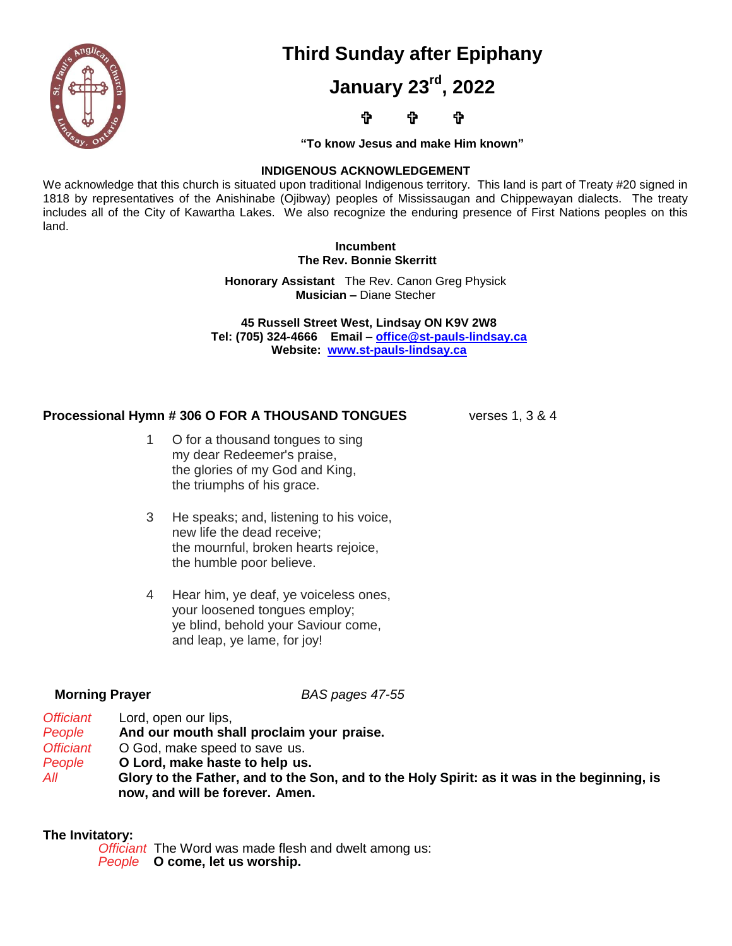

# **Third Sunday after Epiphany**

**January 23rd, 2022**

**"To know Jesus and make Him known"**

#### **INDIGENOUS ACKNOWLEDGEMENT**

We acknowledge that this church is situated upon traditional Indigenous territory. This land is part of Treaty #20 signed in 1818 by representatives of the Anishinabe (Ojibway) peoples of Mississaugan and Chippewayan dialects. The treaty includes all of the City of Kawartha Lakes. We also recognize the enduring presence of First Nations peoples on this land.

# **Incumbent**

#### **The Rev. Bonnie Skerritt**

**Honorary Assistant** The Rev. Canon Greg Physick **Musician –** Diane Stecher

 **45 Russell Street West, Lindsay ON K9V 2W8 Tel: (705) 324-4666 Email – [office@st-pauls-lindsay.ca](mailto:office@st-pauls-lindsay.ca) Website: [www.st-pauls-lindsay.ca](http://www.st-pauls-lindsay.ca/)**

# **Processional Hymn # 306 O FOR A THOUSAND TONGUES** verses 1, 3 & 4

1 O for a thousand tongues to sing my dear Redeemer's praise, the glories of my God and King, the triumphs of his grace.

- 3 He speaks; and, listening to his voice, new life the dead receive; the mournful, broken hearts rejoice, the humble poor believe.
- 4 Hear him, ye deaf, ye voiceless ones, your loosened tongues employ; ye blind, behold your Saviour come, and leap, ye lame, for joy!

**Morning Prayer** *BAS pages 47-55*

- *Officiant* Lord, open our lips,
- *People* **And our mouth shall proclaim your praise.**
- *Officiant* O God, make speed to save us.
- *People* **O Lord, make haste to help us.**
- *All* **Glory to the Father, and to the Son, and to the Holy Spirit: as it was in the beginning, is now, and will be forever. Amen.**

# **The Invitatory:**

*Officiant* The Word was made flesh and dwelt among us: *People* **O come, let us worship.**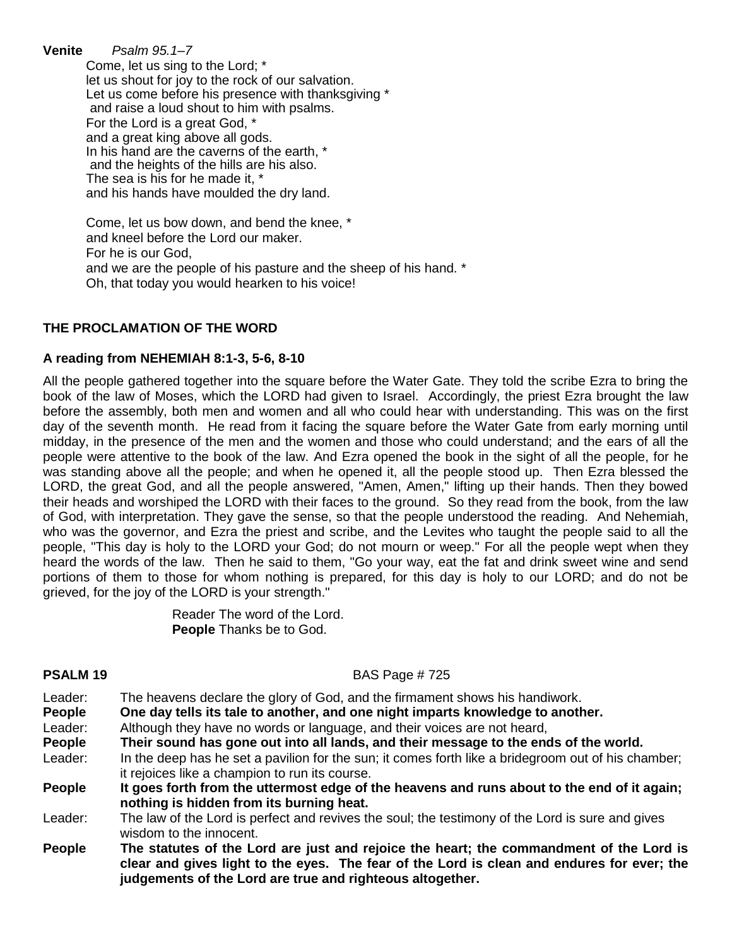**Venite** *Psalm 95.1–7*

Come, let us sing to the Lord; \* let us shout for joy to the rock of our salvation. Let us come before his presence with thanksgiving \* and raise a loud shout to him with psalms. For the Lord is a great God, \* and a great king above all gods. In his hand are the caverns of the earth, \* and the heights of the hills are his also. The sea is his for he made it, \* and his hands have moulded the dry land.

Come, let us bow down, and bend the knee, \* and kneel before the Lord our maker. For he is our God, and we are the people of his pasture and the sheep of his hand. \* Oh, that today you would hearken to his voice!

# **THE PROCLAMATION OF THE WORD**

#### **A reading from NEHEMIAH 8:1-3, 5-6, 8-10**

All the people gathered together into the square before the Water Gate. They told the scribe Ezra to bring the book of the law of Moses, which the LORD had given to Israel. Accordingly, the priest Ezra brought the law before the assembly, both men and women and all who could hear with understanding. This was on the first day of the seventh month. He read from it facing the square before the Water Gate from early morning until midday, in the presence of the men and the women and those who could understand; and the ears of all the people were attentive to the book of the law. And Ezra opened the book in the sight of all the people, for he was standing above all the people; and when he opened it, all the people stood up. Then Ezra blessed the LORD, the great God, and all the people answered, "Amen, Amen," lifting up their hands. Then they bowed their heads and worshiped the LORD with their faces to the ground. So they read from the book, from the law of God, with interpretation. They gave the sense, so that the people understood the reading. And Nehemiah, who was the governor, and Ezra the priest and scribe, and the Levites who taught the people said to all the people, "This day is holy to the LORD your God; do not mourn or weep." For all the people wept when they heard the words of the law. Then he said to them, "Go your way, eat the fat and drink sweet wine and send portions of them to those for whom nothing is prepared, for this day is holy to our LORD; and do not be grieved, for the joy of the LORD is your strength."

> Reader The word of the Lord. **People** Thanks be to God.

#### **PSALM 19** BAS Page # 725

- Leader:The heavens declare the glory of God, and the firmament shows his handiwork.
- **People One day tells its tale to another, and one night imparts knowledge to another.**
- Leader:Although they have no words or language, and their voices are not heard,
- **People Their sound has gone out into all lands, and their message to the ends of the world.**
- Leader: In the deep has he set a pavilion for the sun; it comes forth like a bridegroom out of his chamber; it rejoices like a champion to run its course.
- **People It goes forth from the uttermost edge of the heavens and runs about to the end of it again; nothing is hidden from its burning heat.**
- Leader:The law of the Lord is perfect and revives the soul; the testimony of the Lord is sure and gives wisdom to the innocent.
- **People The statutes of the Lord are just and rejoice the heart; the commandment of the Lord is clear and gives light to the eyes. The fear of the Lord is clean and endures for ever; the judgements of the Lord are true and righteous altogether.**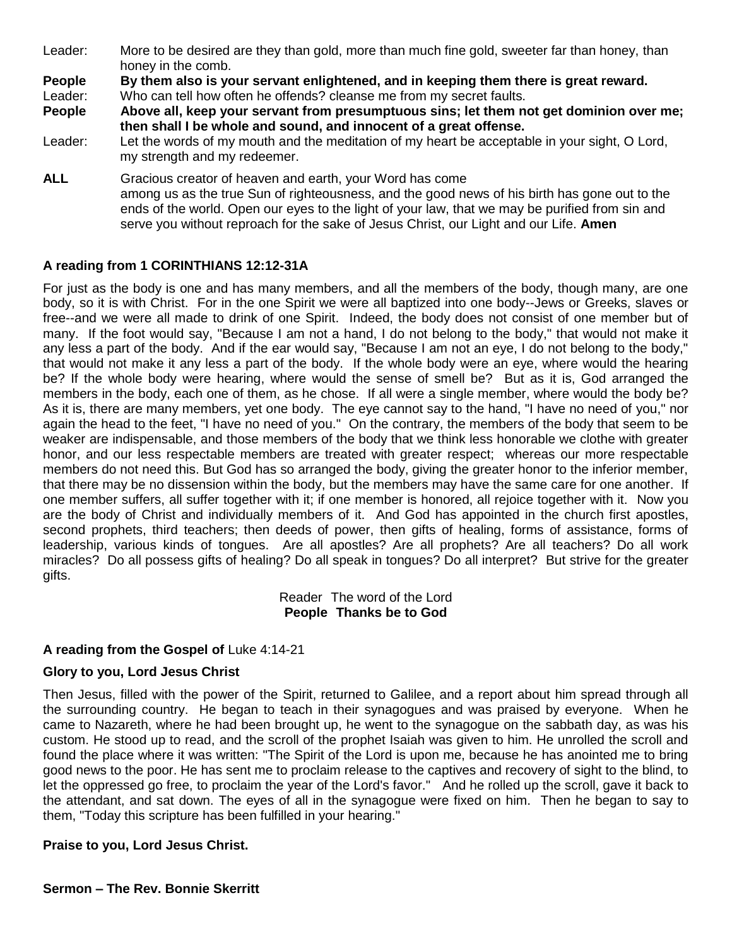| Leader: | More to be desired are they than gold, more than much fine gold, sweeter far than honey, than |
|---------|-----------------------------------------------------------------------------------------------|
|         | honey in the comb.                                                                            |

**People By them also is your servant enlightened, and in keeping them there is great reward.** Leader:Who can tell how often he offends? cleanse me from my secret faults.

**People Above all, keep your servant from presumptuous sins; let them not get dominion over me;** 

- **then shall I be whole and sound, and innocent of a great offense.**
- Leader:Let the words of my mouth and the meditation of my heart be acceptable in your sight, O Lord, my strength and my redeemer.
- **ALL** Gracious creator of heaven and earth, your Word has come among us as the true Sun of righteousness, and the good news of his birth has gone out to the ends of the world. Open our eyes to the light of your law, that we may be purified from sin and serve you without reproach for the sake of Jesus Christ, our Light and our Life. **Amen**

# **A reading from 1 CORINTHIANS 12:12-31A**

For just as the body is one and has many members, and all the members of the body, though many, are one body, so it is with Christ. For in the one Spirit we were all baptized into one body--Jews or Greeks, slaves or free--and we were all made to drink of one Spirit. Indeed, the body does not consist of one member but of many. If the foot would say, "Because I am not a hand, I do not belong to the body," that would not make it any less a part of the body. And if the ear would say, "Because I am not an eye, I do not belong to the body," that would not make it any less a part of the body. If the whole body were an eye, where would the hearing be? If the whole body were hearing, where would the sense of smell be? But as it is, God arranged the members in the body, each one of them, as he chose. If all were a single member, where would the body be? As it is, there are many members, yet one body. The eye cannot say to the hand, "I have no need of you," nor again the head to the feet, "I have no need of you." On the contrary, the members of the body that seem to be weaker are indispensable, and those members of the body that we think less honorable we clothe with greater honor, and our less respectable members are treated with greater respect; whereas our more respectable members do not need this. But God has so arranged the body, giving the greater honor to the inferior member, that there may be no dissension within the body, but the members may have the same care for one another. If one member suffers, all suffer together with it; if one member is honored, all rejoice together with it. Now you are the body of Christ and individually members of it. And God has appointed in the church first apostles, second prophets, third teachers; then deeds of power, then gifts of healing, forms of assistance, forms of leadership, various kinds of tongues. Are all apostles? Are all prophets? Are all teachers? Do all work miracles? Do all possess gifts of healing? Do all speak in tongues? Do all interpret? But strive for the greater gifts.

#### Reader The word of the Lord **People Thanks be to God**

# **A reading from the Gospel of** Luke 4:14-21

# **Glory to you, Lord Jesus Christ**

Then Jesus, filled with the power of the Spirit, returned to Galilee, and a report about him spread through all the surrounding country. He began to teach in their synagogues and was praised by everyone. When he came to Nazareth, where he had been brought up, he went to the synagogue on the sabbath day, as was his custom. He stood up to read, and the scroll of the prophet Isaiah was given to him. He unrolled the scroll and found the place where it was written: "The Spirit of the Lord is upon me, because he has anointed me to bring good news to the poor. He has sent me to proclaim release to the captives and recovery of sight to the blind, to let the oppressed go free, to proclaim the year of the Lord's favor." And he rolled up the scroll, gave it back to the attendant, and sat down. The eyes of all in the synagogue were fixed on him. Then he began to say to them, "Today this scripture has been fulfilled in your hearing."

# **Praise to you, Lord Jesus Christ.**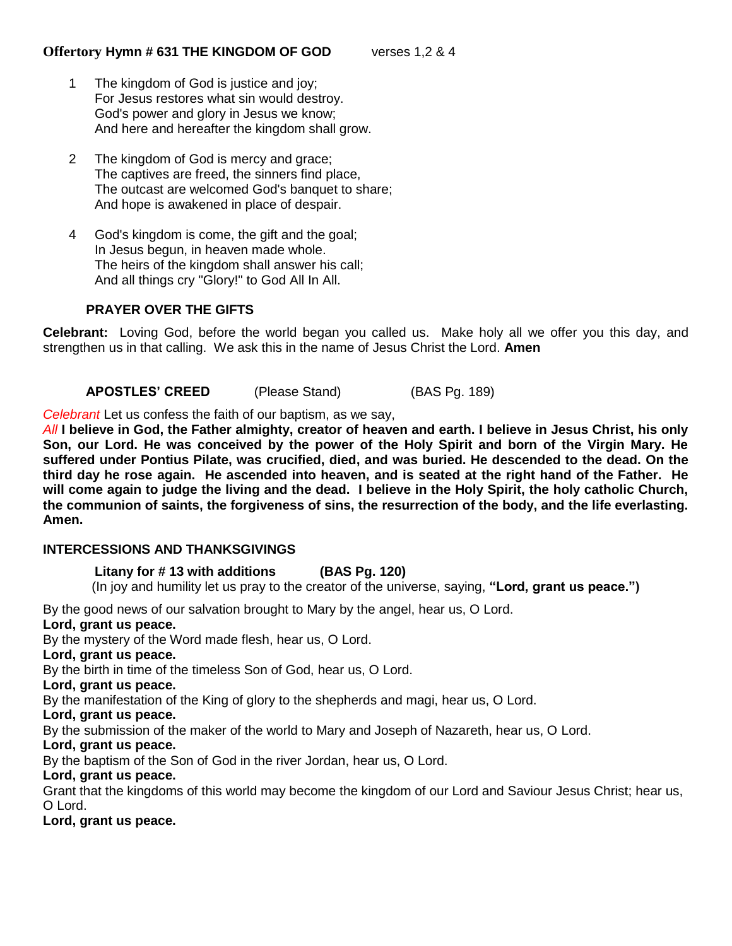# **Offertory Hymn # 631 THE KINGDOM OF GOD** verses 1,2 & 4

- 1 The kingdom of God is justice and joy; For Jesus restores what sin would destroy. God's power and glory in Jesus we know; And here and hereafter the kingdom shall grow.
- 2 The kingdom of God is mercy and grace; The captives are freed, the sinners find place, The outcast are welcomed God's banquet to share; And hope is awakened in place of despair.
- 4 God's kingdom is come, the gift and the goal; In Jesus begun, in heaven made whole. The heirs of the kingdom shall answer his call; And all things cry "Glory!" to God All In All.

# **PRAYER OVER THE GIFTS**

**Celebrant:** Loving God, before the world began you called us. Make holy all we offer you this day, and strengthen us in that calling. We ask this in the name of Jesus Christ the Lord. **Amen**

**APOSTLES' CREED** (Please Stand) (BAS Pg. 189)

*Celebrant* Let us confess the faith of our baptism, as we say,

*All* **I believe in God, the Father almighty, creator of heaven and earth. I believe in Jesus Christ, his only Son, our Lord. He was conceived by the power of the Holy Spirit and born of the Virgin Mary. He suffered under Pontius Pilate, was crucified, died, and was buried. He descended to the dead. On the third day he rose again. He ascended into heaven, and is seated at the right hand of the Father. He will come again to judge the living and the dead. I believe in the Holy Spirit, the holy catholic Church, the communion of saints, the forgiveness of sins, the resurrection of the body, and the life everlasting. Amen.**

# **INTERCESSIONS AND THANKSGIVINGS**

**Litany for # 13 with additions (BAS Pg. 120)** (In joy and humility let us pray to the creator of the universe, saying, **"Lord, grant us peace.")**

By the good news of our salvation brought to Mary by the angel, hear us, O Lord.

# **Lord, grant us peace.**

By the mystery of the Word made flesh, hear us, O Lord.

**Lord, grant us peace.**

By the birth in time of the timeless Son of God, hear us, O Lord.

#### **Lord, grant us peace.**

By the manifestation of the King of glory to the shepherds and magi, hear us, O Lord.

#### **Lord, grant us peace.**

By the submission of the maker of the world to Mary and Joseph of Nazareth, hear us, O Lord.

# **Lord, grant us peace.**

By the baptism of the Son of God in the river Jordan, hear us, O Lord.

# **Lord, grant us peace.**

Grant that the kingdoms of this world may become the kingdom of our Lord and Saviour Jesus Christ; hear us, O Lord.

**Lord, grant us peace.**